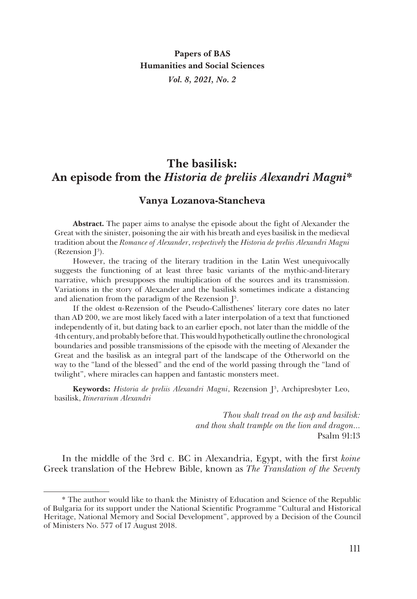## **The basilisk: An episode from the** *Historia de preliis Alexandri Magni***\***

## **Vanya Lozanova-Stancheva**

**Abstract.** The paper aims to analyse the episode about the fight of Alexander the Great with the sinister, poisoning the air with his breath and eyes basilisk in the medieval tradition about the *Romance of Alexander*, *respectively* the *Historia de preliis Alexandri Magni* (Rezension  $J^3$ ).

However, the tracing of the literary tradition in the Latin West unequivocally suggests the functioning of at least three basic variants of the mythic-and-literary narrative, which presupposes the multiplication of the sources and its transmission. Variations in the story of Alexander and the basilisk sometimes indicate a distancing and alienation from the paradigm of the Rezension  $\mathbb{J}^3.$ 

If the oldest α-Rezension of the Pseudo-Callisthenes' literary core dates no later than AD 200, we are most likely faced with a later interpolation of a text that functioned independently of it, but dating back to an earlier epoch, not later than the middle of the 4th century, and probably before that. This would hypothetically outline the chronological boundaries and possible transmissions of the episode with the meeting of Alexander the Great and the basilisk as an integral part of the landscape of the Otherworld on the way to the "land of the blessed" and the end of the world passing through the "land of twilight", where miracles can happen and fantastic monsters meet.

**Keywords:** *Historia de preliis Alexandri Magni*, Rezension J3 , Archipresbyter Leo, basilisk, *Itinerarium Alexandri*

> *Thou shalt tread on the asp and basilisk: and thou shalt trample on the lion and dragon...* Psalm 91:13

In the middle of the 3rd c. BC in Alexandria, Egypt, with the first *koine* Greek translation of the Hebrew Bible, known as *The Translation of the Seventy*

<sup>\*</sup> The author would like to thank the Ministry of Education and Science of the Republic of Bulgaria for its support under the National Scientific Programme "Cultural and Historical Heritage, National Memory and Social Development", approved by a Decision of the Council of Ministers No. 577 of 17 August 2018.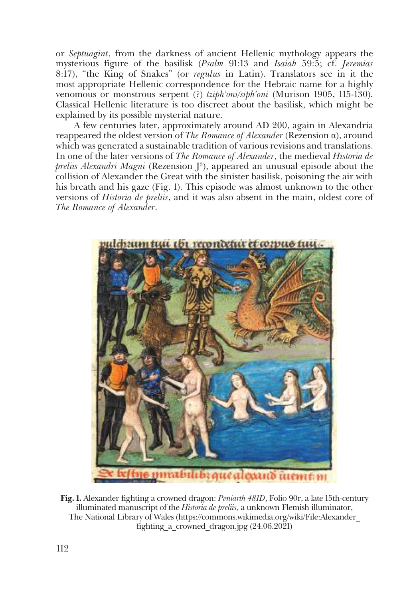or *Septuagint*, from the darkness of ancient Hellenic mythology appears the mysterious figure of the basilisk (*Psalm* 91:13 and *Isaiah* 59:5; cf. *Jeremias*  8:17), "the King of Snakes" (or *regulus* in Latin). Translators see in it the most appropriate Hellenic correspondence for the Hebraic name for a highly venomous or monstrous serpent (?) *tziph'oni/siph'oni* (Murison 1905, 115-130)*.*  Classical Hellenic literature is too discreet about the basilisk, which might be explained by its possible mysterial nature.

A few centuries later, approximately around AD 200, again in Alexandria reappeared the oldest version of *The Romance of Alexander* (Rezension α), around which was generated a sustainable tradition of various revisions and translations. In one of the later versions of *The Romance of Alexander*, the medieval *Historia de*  preliis Alexandri Magni (Rezension J<sup>3</sup>), appeared an unusual episode about the collision of Alexander the Great with the sinister basilisk, poisoning the air with his breath and his gaze (Fig. 1). This episode was almost unknown to the other versions of *Historia de preliis*, and it was also absent in the main, oldest core of *The Romance of Alexander*.



**Fig. 1.** Alexander fighting a crowned dragon: *Peniarth 481D*, Folio 90r, a late 15th-century illuminated manuscript of the *Historia de preliis*, a unknown Flemish illuminator, The National Library of Wales (https://commons.wikimedia.org/wiki/File:Alexander\_ fighting\_a\_crowned\_dragon.jpg (24.06.2021)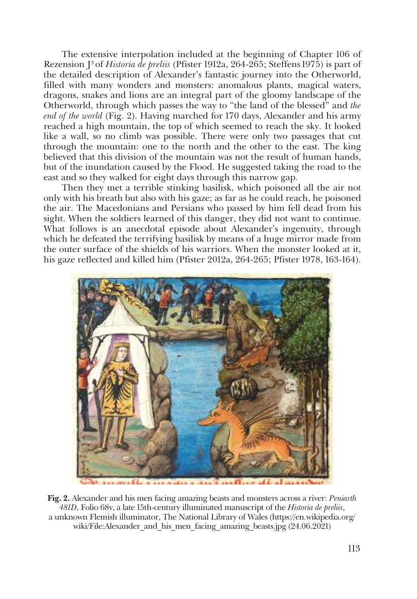The extensive interpolation included at the beginning of Chapter 106 of Rezension J3 of *Historia de preliis* (Pfister 1912a, 264-265; Steffens1975) is part of the detailed description of Alexander's fantastic journey into the Otherworld, filled with many wonders and monsters: anomalous plants, magical waters, dragons, snakes and lions are an integral part of the gloomy landscape of the Otherworld, through which passes the way to "the land of the blessed" and *the end of the world* (Fig. 2). Having marched for 170 days, Alexander and his army reached a high mountain, the top of which seemed to reach the sky. It looked like a wall, so no climb was possible. There were only two passages that cut through the mountain: one to the north and the other to the east. The king believed that this division of the mountain was not the result of human hands, but of the inundation caused by the Flood. He suggested taking the road to the east and so they walked for eight days through this narrow gap.

Then they met a terrible stinking basilisk, which poisoned all the air not only with his breath but also with his gaze; as far as he could reach, he poisoned the air. The Macedonians and Persians who passed by him fell dead from his sight. When the soldiers learned of this danger, they did not want to continue. What follows is an anecdotal episode about Alexander's ingenuity, through which he defeated the terrifying basilisk by means of a huge mirror made from the outer surface of the shields of his warriors. When the monster looked at it, his gaze reflected and killed him (Pfister 2012а, 264-265; Pfister 1978, 163-164).



**Fig. 2.** Alexander and his men facing amazing beasts and monsters across a river: *Peniarth 481D*, Folio 68v, a late 15th-century illuminated manuscript of the *Historia de preliis*, a unknown Flemish illuminator, The National Library of Wales (https://en.wikipedia.org/ wiki/File:Alexander and his men facing amazing beasts.jpg (24.06.2021)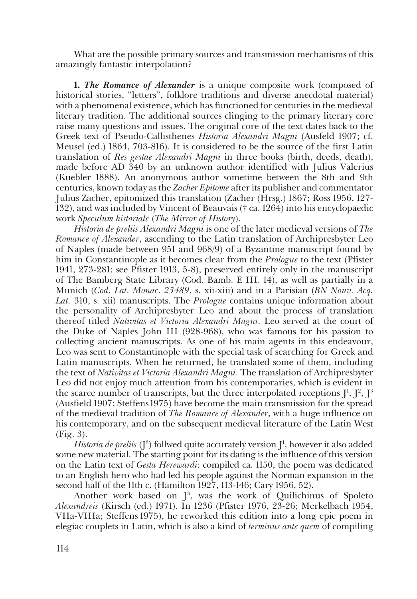What are the possible primary sources and transmission mechanisms of this amazingly fantastic interpolation?

**1.** *The Romance of Alexander* is a unique composite work (composed of historical stories, "letters", folklore traditions and diverse anecdotal material) with a phenomenal existence, which has functioned for centuries in the medieval literary tradition. The additional sources clinging to the primary literary core raise many questions and issues. The original core of the text dates back to the Greek text of Pseudo-Callisthenes *Historia Alexandri Magni* (Ausfeld 1907; cf. Meusel (ed.) 1864, 703-816). It is considered to be the source of the first Latin translation of *Res gestae Alexandri Magni* in three books (birth, deeds, death), made before AD 340 by an unknown author identified with Julius Valerius (Kuebler 1888). An anonymous author sometime between the 8th and 9th centuries, known today as the *Zacher Epitome* after its publisher and commentator Julius Zacher, epitomized this translation (Zacher (Hrsg.) 1867; Ross 1956, 127- 132), and was included by Vincent of Beauvais († ca. 1264) into his encyclopaedic work *Speculum historialе* (*The Mirror of History*).

*Historia de preliis Alexandri Magni* is one of the later medieval versions of *The Romance of Alexander*, ascending to the Latin translation of Archipresbyter Leo of Naples (made between 951 and 968/9) of a Byzantine manuscript found by him in Constantinople as it becomes clear from the *Prologue* to the text (Pfister 1941, 273-281; see Pfister 1913, 5-8), preserved entirely only in the manuscript of The Bamberg State Library (Cod. Bamb. E III. 14), as well as partially in a Munich (*Cod. Lat. Monac. 23489*, s. xii-xiii) and in a Parisian (*BN Nouv. Acq. Lat.* 310, s. xii) manuscripts. The *Prologue* contains unique information about the personality of Archipresbyter Leo and about the process of translation thereof titled *Nativitas et Victoria Alexandri Magni*. Leo served at the court of the Duke of Naples John III (928-968), who was famous for his passion to collecting ancient manuscripts. As one of his main agents in this endeavour, Leo was sent to Constantinople with the special task of searching for Greek and Latin manuscripts. When he returned, he translated some of them, including the text of *Nativitas et Victoria Alexandri Magni*. The translation of Archipresbyter Leo did not enjoy much attention from his contemporaries, which is evident in the scarce number of transcripts, but the three interpolated receptions  $J^1$ ,  $J^2$ ,  $J^3$ (Ausfield 1907; Steffens1975) have become the main transmission for the spread of the medieval tradition of *The Romance of Alexander*, with a huge influence on his contemporary, and on the subsequent medieval literature of the Latin West (Fig. 3).

*Historia de preliis* (J<sup>3</sup>) follwed quite accurately version J<sup>1</sup>, however it also added some new material. The starting point for its dating is the influence of this version on the Latin text of *Gesta Herewardi*: compiled ca. 1150, the poem was dedicated to an English hero who had led his people against the Norman expansion in the second half of the 11th c. (Hamilton 1927, 113-146; Cary 1956, 52).

Another work based on  $J^3$ , was the work of Quilichinus of Spoleto *Alexandreis* (Kirsch (ed.) 1971). In 1236 (Pfister 1976, 23-26; Merkelbach 1954, VIIa-VIIIa; Steffens 1975), he reworked this edition into a long epic poem in elegiac couplets in Latin, which is also a kind of *terminus ante quem* of compiling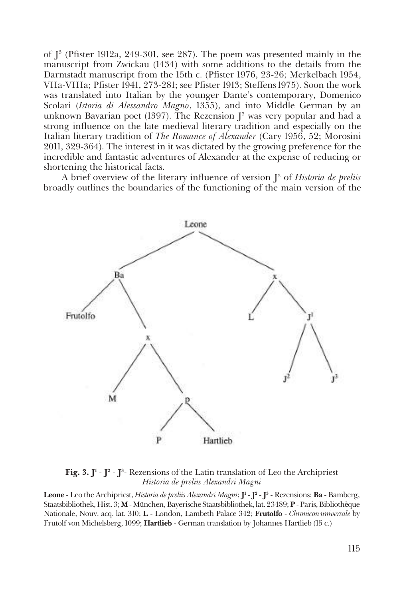of J3 (Pfister 1912a, 249-301, see 287). The poem was presented mainly in the manuscript from Zwickau (1434) with some additions to the details from the Darmstadt manuscript from the 15th c. (Pfister 1976, 23-26; Merkelbach 1954, VIIa-VIIIa; Pfister 1941, 273-281; see Pfister 1913; Steffens1975). Soon the work was translated into Italian by the younger Dante's contemporary, Domenico Scolari (*Istoria di Alessandro Magno*, 1355), and into Middle German by an unknown Bavarian poet (1397). The Rezension J $^3$  was very popular and had a strong influence on the late medieval literary tradition and especially on the Italian literary tradition of *The Romance of Alexander* (Cary 1956, 52; Morosini 2011, 329-364). The interest in it was dictated by the growing preference for the incredible and fantastic adventures of Alexander at the expense of reducing or shortening the historical facts.

A brief overview of the literary influence of version J<sup>3</sup> of *Historia de preliis* broadly outlines the boundaries of the functioning of the main version of the



**Fig. 3. J1** - **J2** - **J3** - Rezensions of the Latin translation of Leo the Archipriest *Historia de preliis Alexandri Magni*

**Leone** - Leo the Archipriest, *Historia de preliis Alexandri Magni*; **J1** - **J2** - **J3** - Rezensions; **Ba** - Bamberg, Staatsbibliothek, Hist. 3; **M** -München, Bayerische Staatsbibliothek, lat. 23489; **P** -Paris, Bibliothèque Nationale, Nouv. acq. lat. 310; **L** - London, Lambeth Palace 342; **Frutolfо** - *Chronicon universale* by Frutolf von Michelsberg, 1099; **Hartlieb** - German translation by Johannes Hartlieb (15 c.)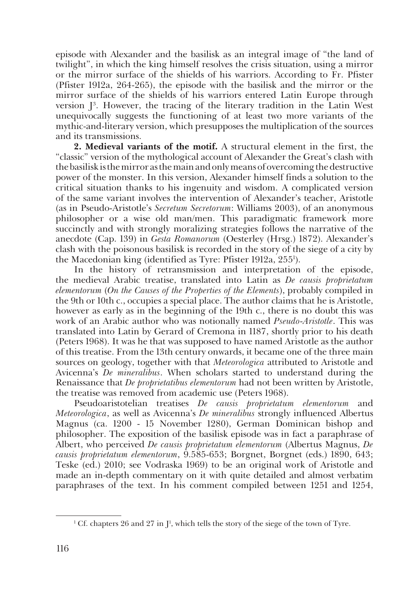episode with Alexander and the basilisk as an integral image of "the land of twilight", in which the king himself resolves the crisis situation, using a mirror or the mirror surface of the shields of his warriors. According to Fr. Pfister (Pfister 1912а, 264-265), the episode with the basilisk and the mirror or the mirror surface of the shields of his warriors entered Latin Europe through version  $J^3$ . However, the tracing of the literary tradition in the Latin West unequivocally suggests the functioning of at least two more variants of the mythic-and-literary version, which presupposes the multiplication of the sources and its transmissions.

**2. Medieval variants of the motif.** A structural element in the first, the "classic" version of the mythological account of Alexander the Great's clash with the basilisk is the mirror as the main and only means of overcoming the destructive power of the monster. In this version, Alexander himself finds a solution to the critical situation thanks to his ingenuity and wisdom. A complicated version of the same variant involves the intervention of Alexander's teacher, Aristotle (as in Pseudo-Aristotle's *Secretum Secretorum*: Williams 2003), of an anonymous philosopher or a wise old man/men. This paradigmatic framework more succinctly and with strongly moralizing strategies follows the narrative of the anecdote (Cap. 139) in *Gesta Romanorum* (Oesterley (Hrsg.) 1872). Alexander's clash with the poisonous basilisk is recorded in the story of the siege of a city by the Macedonian king (identified as Tyre: Pfister 1912а, 2551 ).

In the history of retransmission and interpretation of the episode, the medieval Arabic treatise, translated into Latin as *De causis proprietatum elementorum* (*On the Causes of the Properties of the Elements*), probably compiled in the 9th or 10th c., occupies a special place. The author claims that he is Aristotle, however as early as in the beginning of the 19th c., there is no doubt this was work of an Arabic author who was notionally named *Pseudo*-*Aristotle*. This was translated into Latin by Gerard of Cremona in 1187, shortly prior to his death (Peters 1968). It was he that was supposed to have named Aristotle as the author of this treatise. From the 13th century onwards, it became one of the three main sources on geology, together with that *Meteorologica* attributed to Aristotle and Avicenna's *De mineralibus*. When scholars started to understand during the Renaissance that *De proprietatibus elementorum* had not been written by Aristotle, the treatise was removed from academic use (Peters 1968).

Pseudoaristotelian treatises *De causis proprietatum elementorum* and *Meteorologica*, as well as Avicenna's *De mineralibus* strongly influenced Albertus Magnus (ca. 1200 - 15 November 1280), German Dominican bishop and philosopher. The exposition of the basilisk episode was in fact a paraphrase of Albert, who perceived *De causis proprietatum elementorum* (Albertus Magnus, *De causis proprietatum elementorum*, 9.585-653; Borgnet, Borgnet (еds.) 1890, 643; Teske (ed.) 2010; see Vodraska 1969) to be an original work of Aristotle and made an in-depth commentary on it with quite detailed and almost verbatim paraphrases of the text. In his comment compiled between 1251 and 1254,

<sup>&</sup>lt;sup>1</sup> Cf. chapters 26 and 27 in  $J^1$ , which tells the story of the siege of the town of Tyre.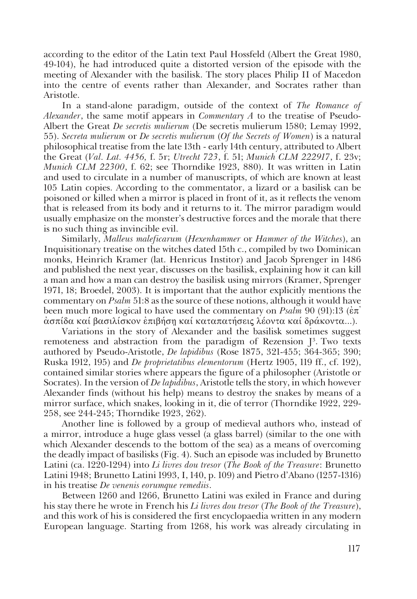according to the editor of the Latin text Paul Hossfeld (Albert the Great 1980, 49-104), he had introduced quite a distorted version of the episode with the meeting of Alexander with the basilisk. The story places Philip II of Macedon into the centre of events rather than Alexander, and Socrates rather than Aristotle.

In a stand-alone paradigm, outside of the context of *The Romance of Alexander*, the same motif appears in *Commentary A* to the treatise of Pseudo-Albert the Great *De secretis mulierum* (De secretis mulierum 1580; Lemay 1992, 55). *Secreta mulierum* or *De secretis mulierum* (*Of the Secrets of Women*) is a natural philosophical treatise from the late 13th - early 14th century, attributed to Albert the Great (*Val. Lat. 4456,* f. 5r; *Utrecht 723*, f. 51; *Munich CLM 222917*, f. 23v; *Munich CLM 22300*, f. 62; see Thorndike 1923, 880). It was written in Latin and used to circulate in a number of manuscripts, of which are known at least 105 Latin copies. According to the commentator, a lizard or a basilisk can be poisoned or killed when a mirror is placed in front of it, as it reflects the venom that is released from its body and it returns to it. The mirror paradigm would usually emphasize on the monster's destructive forces and the morale that there is no such thing as invincible evil.

Similarly, *Malleus maleficarum* (*Hexenhammer* or *Hammer of the Witches*), an Inquisitionary treatise on the witches dated 15th c., compiled by two Dominican monks, Heinrich Kramer (lat. Henricus Institor) and Jacob Sprenger in 1486 and published the next year, discusses on the basilisk, explaining how it can kill a man and how a man can destroy the basilisk using mirrors (Kramer, Sprenger 1971, 18; Broedel, 2003). It is important that the author explicitly mentions the commentary on *Psalm* 51:8 as the source of these notions, although it would have been much more logical to have used the commentary on *Psalm* 90 (91):13 ( $\dot{\epsilon}\pi$ ) άσπίδα καί βασιλίσκον ἐπιβήση καί καταπατήσεις λέοντα καί δράκοντα...).

Variations in the story of Alexander and the basilisk sometimes suggest remoteness and abstraction from the paradigm of Rezension  $J<sup>3</sup>$ . Two texts authored by Pseudo-Aristotle, *De lapidibus* (Rose 1875, 321-455; 364-365; 390; Ruska 1912, 195) and *De proprietatibus elementorum* (Hertz 1905, 119 ff., cf. 192), contained similar stories where appears the figure of a philosopher (Aristotle or Socrates). In the version of *De lapidibus*, Aristotle tells the story, in which however Alexander finds (without his help) means to destroy the snakes by means of a mirror surface, which snakes, looking in it, die of terror (Thorndike 1922, 229- 258, see 244-245; Thorndike 1923, 262).

Another line is followed by a group of medieval authors who, instead of a mirror, introduce a huge glass vessel (a glass barrel) (similar to the one with which Alexander descends to the bottom of the sea) as a means of overcoming the deadly impact of basilisks (Fig. 4). Such an episode was included by Brunetto Latini (ca. 1220-1294) into *Li livres dou tresor* (*The Book of the Treasure*: Brunetto Latini 1948; Brunetto Latini 1993, I, 140, p. 109) and Pietro d'Abano (1257-1316) in his treatise *De venenis eorumque remediis*.

Between 1260 and 1266, Brunetto Latini was exiled in France and during his stay there he wrote in French his *Li livres dou trеsor* (*The Book of the Treasure*), and this work of his is considered the first encyclopaedia written in any modern European language. Starting from 1268, his work was already circulating in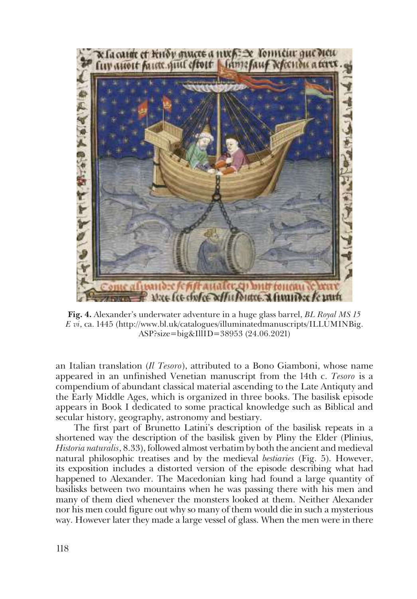

**Fig. 4.** Alexander's underwater adventure in a huge glass barrel, *BL Royal MS 15 E vi*, ca. 1445 (http://www.bl.uk/catalogues/illuminatedmanuscripts/ILLUMINBig. ASP?size=big&IllID=38953 (24.06.2021)

an Italian translation (*Il Tesoro*), attributed to a Bono Giamboni, whose name appeared in an unfinished Venetian manuscript from the 14th c. *Tesoro* is a compendium of abundant classical material ascending to the Late Antiquty and the Early Middle Ages, which is organized in three books. The basilisk episode appears in Book I dedicated to some practical knowledge such as Biblical and secular history, geography, astronomy and bestiary.

The first part of Brunetto Latini's description of the basilisk repeats in a shortened way the description of the basilisk given by Pliny the Elder (Plinius, *Historia naturalis*, 8.33), followed almost verbatim by both the ancient and medieval natural philosophic treatises and by the medieval *bestiaries* (Fig. 5). However, its exposition includes a distorted version of the episode describing what had happened to Alexander. The Macedonian king had found a large quantity of basilisks between two mountains when he was passing there with his men and many of them died whenever the monsters looked at them. Neither Alexander nor his men could figure out why so many of them would die in such a mysterious way. However later they made a large vessel of glass. When the men were in there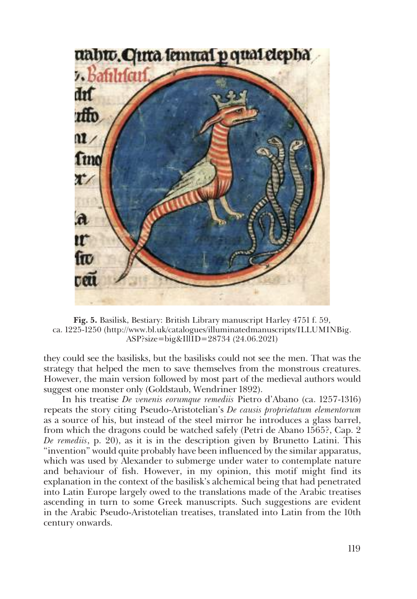

**Fig. 5.** Basilisk, Bestiary: British Library manuscript Harley 4751 f. 59, ca. 1225-1250 (http://www.bl.uk/catalogues/illuminatedmanuscripts/ILLUMINBig. ASP?size=big&IllID=28734 (24.06.2021)

they could see the basilisks, but the basilisks could not see the men. That was the strategy that helped the men to save themselves from the monstrous creatures. However, the main version followed by most part of the medieval authors would suggest one monster only (Goldstaub, Wendriner 1892).

In his treatise *De venenis eorumque remediis* Pietro d'Abano (ca. 1257-1316) repeats the story citing Pseudo-Aristotelian's *De causis proprietatum elementorum* as a source of his, but instead of the steel mirror he introduces a glass barrel, from which the dragons could be watched safely (Petri de Abano 1565?, Cap. 2 *De remediis*, p. 20), as it is in the description given by Brunetto Latini. This "invention" would quite probably have been influenced by the similar apparatus, which was used by Alexander to submerge under water to contemplate nature and behaviour of fish. However, in my opinion, this motif might find its explanation in the context of the basilisk's alchemical being that had penetrated into Latin Europe largely owed to the translations made of the Arabic treatises ascending in turn to some Greek manuscripts. Such suggestions are evident in the Arabic Pseudo-Aristotelian treatises, translated into Latin from the 10th century onwards.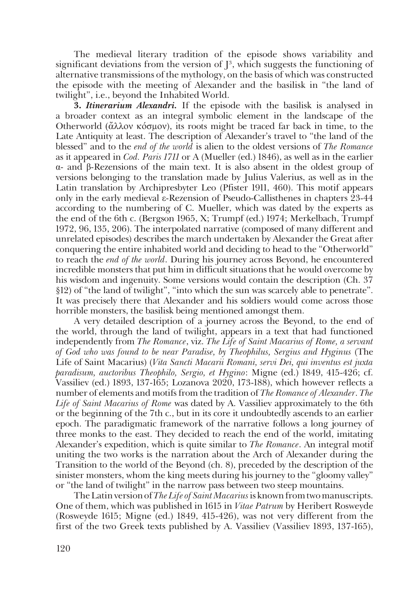The medieval literary tradition of the episode shows variability and significant deviations from the version of  $J^3$ , which suggests the functioning of alternative transmissions of the mythology, on the basis of which was constructed the episode with the meeting of Alexander and the basilisk in "the land of twilight", i.e., beyond the Inhabited World.

**3.** *Itinerarium Alexandri.* If the episode with the basilisk is analysed in a broader context as an integral symbolic element in the landscape of the Otherworld ( $\check{\alpha} \lambda$ λον κόσμον), its roots might be traced far back in time, to the Late Antiquity at least. The description of Alexander's travel to "the land of the blessed" and to the *end of the world* is alien to the oldest versions of *The Romance* as it appeared in *Cod. Paris 1711* or A (Mueller (ed.) 1846), as well as in the earlier α- and β-Rezensions of the main text. It is also absent in the oldest group of versions belonging to the translation made by Julius Valerius, as well as in the Latin translation by Archipresbyter Leo (Pfister 1911, 460). This motif appears only in the early medieval ε-Rezension of Pseudo-Callisthenes in chapters 23-44 according to the numbering of C. Mueller, which was dated by the experts as the end of the 6th c. (Bergson 1965, X; Trumpf (ed.) 1974; Merkelbach, Trumpf 1972, 96, 135, 206). The interpolated narrative (composed of many different and unrelated episodes) describes the march undertaken by Alexander the Great after conquering the entire inhabited world and deciding to head to the "Otherworld" to reach the *end of the world*. During his journey across Beyond, he encountered incredible monsters that put him in difficult situations that he would overcome by his wisdom and ingenuity. Some versions would contain the description (Ch. 37 §12) of "the land of twilight", "into which the sun was scarcely able to penetrate". It was precisely there that Alexander and his soldiers would come across those horrible monsters, the basilisk being mentioned amongst them.

A very detailed description of a journey across the Beyond, to the end of the world, through the land of twilight, appears in a text that had functioned independently from *The Romance*, viz. *The Life of Saint Macarius of Rome, a servant of God who was found to be near Paradise, by Theophilus, Sergius and Hyginus* (The Life of Saint Macarius) (*Vita Sancti Macarii Romani, servi Dei, qui inventus est juxta paradisum, auctoribus Theophilo, Sergio, et Hygino*: Migne (ed.) 1849, 415-426; cf. Vassiliev (ed.) 1893, 137-165; Lozanova 2020, 173-188), which however reflects a number of elements and motifs from the tradition of *The Romance of Alexander*. *The Life of Saint Macarius of Rome* was dated by A. Vassiliev approximately to the 6th or the beginning of the 7th c., but in its core it undoubtedly ascends to an earlier epoch. The paradigmatic framework of the narrative follows a long journey of three monks to the east. They decided to reach the end of the world, imitating Alexander's expedition, which is quite similar to *The Romance*. An integral motif uniting the two works is the narration about the Arch of Alexander during the Transition to the world of the Beyond (ch. 8), preceded by the description of the sinister monsters, whom the king meets during his journey to the "gloomy valley" or "the land of twilight" in the narrow pass between two steep mountains.

The Latin version of *The Life of Saint Macarius* is known from two manuscripts. One of them, which was published in 1615 in *Vitae Patrum* by Heribert Rosweyde (Rosweyde 1615; Migne (ed.) 1849, 415-426), was not very different from the first of the two Greek texts published by A. Vassiliev (Vassiliev 1893, 137-165),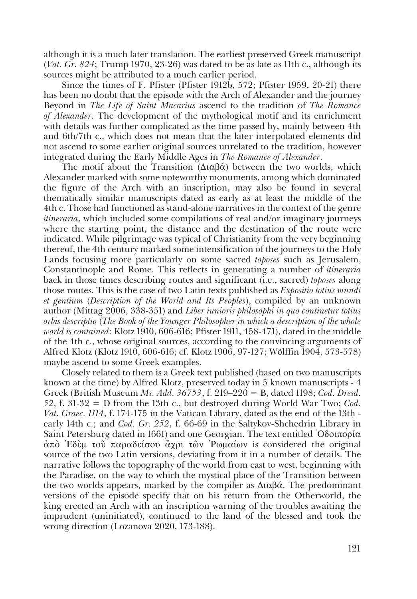although it is a much later translation. The earliest preserved Greek manuscript (*Vat. Gr. 824*; Trump 1970, 23-26) was dated to be as late as 11th c., although its sources might be attributed to a much earlier period.

Since the times of F. Pfister (Pfister 1912b, 572; Pfister 1959, 20-21) there has been no doubt that the episode with the Arch of Alexander and the journey Beyond in *The Life of Saint Macarius* ascend to the tradition of *The Romance of Alexander*. The development of the mythological motif and its enrichment with details was further complicated as the time passed by, mainly between 4th and 6th/7th c., which does not mean that the later interpolated elements did not ascend to some earlier original sources unrelated to the tradition, however integrated during the Early Middle Ages in *The Romance of Alexander*.

The motif about the Transition ( $Διαβά$ ) between the two worlds, which Alexander marked with some noteworthy monuments, among which dominated the figure of the Arch with an inscription, may also be found in several thematically similar manuscripts dated as early as at least the middle of the 4th c. Those had functioned as stand-alone narratives in the context of the genre *itineraria*, which included some compilations of real and/or imaginary journeys where the starting point, the distance and the destination of the route were indicated. While pilgrimage was typical of Christianity from the very beginning thereof, the 4th century marked some intensification of the journeys to the Holy Lands focusing more particularly on some sacred *toposes* such as Jerusalem, Constantinople and Rome. This reflects in generating a number of *itineraria* back in those times describing routes and significant (i.e., sacred) *toposes* along those routes. This is the case of two Latin texts published as *Expositio totius mundi et gentium* (*Description of the World and Its Peoples*), compiled by an unknown author (Mittag 2006, 338-351) and *Liber iunioris philosophi in quo continetur totius orbis descriptio* (*The Book of the Younger Philosopher in which a description of the whole world is contained*: Klotz 1910, 606-616; Pfister 1911, 458-471), dated in the middle of the 4th c., whose original sources, according to the convincing arguments of Alfred Klotz (Klotz 1910, 606-616; cf. Klotz 1906, 97-127; Wölffin 1904, 573-578) maybe ascend to some Greek examples.

Closely related to them is a Greek text published (based on two manuscripts known at the time) by Alfred Klotz, preserved today in 5 known manuscripts - 4 Greek (British Museum *Ms. Add. 36753*, f. 219–220 = B, dated 1198; *Cod. Dresd. 52*, f. 31-32 = D from the 13th c., but destroyed during World War Two; *Cod. Vat. Graec. 1114*, f. 174-175 in the Vatican Library, dated as the end of the 13th early 14th c.; and *Cod. Gr. 252*, f. 66-69 in the Saltykov-Shchedrin Library in Saint Petersburg dated in 1661) and one Georgian. The text entitled  $\partial \delta$ οιπορία  $\dot{\alpha}$ πό Eδεμ τοῦ παραδείσου άγρι τῶν Ρωμαίων is considered the original source of the two Latin versions, deviating from it in a number of details. The narrative follows the topography of the world from east to west, beginning with the Paradise, on the way to which the mystical place of the Transition between the two worlds appears, marked by the compiler as  $Διαβά$ . The predominant versions of the episode specify that on his return from the Otherworld, the king erected an Arch with an inscription warning of the troubles awaiting the imprudent (uninitiated), continued to the land of the blessed and took the wrong direction (Lozanova 2020, 173-188).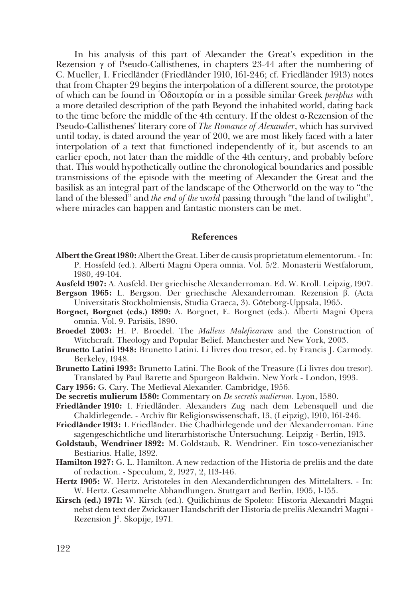In his analysis of this part of Alexander the Great's expedition in the Rezension  $\gamma$  of Pseudo-Callisthenes, in chapters 23-44 after the numbering of C. Mueller, I. Friedländer (Friedländer 1910, 161-246; cf. Friedländer 1913) notes that from Chapter 29 begins the interpolation of a different source, the prototype of which can be found in >Ïδοιπορία or in a possible similar Greek *periplus* with a more detailed description of the path Beyond the inhabited world, dating back to the time before the middle of the 4th century. If the oldest  $\alpha$ -Rezension of the Pseudo-Callisthenes' literary core of *The Romance of Alexander*, which has survived until today, is dated around the year of 200, we are most likely faced with a later interpolation of a text that functioned independently of it, but ascends to an earlier epoch, not later than the middle of the 4th century, and probably before that. This would hypothetically outline the chronological boundaries and possible transmissions of the episode with the meeting of Alexander the Great and the basilisk as an integral part of the landscape of the Otherworld on the way to "the land of the blessed" and *the end of the world* passing through "the land of twilight", where miracles can happen and fantastic monsters can be met.

## **References**

- **Albert the Great1980:** Albert the Great. Liber de causis proprietatum elementorum. In: P. Hossfeld (ed.). Alberti Magni Opera omnia. Vol. 5/2. Monasterii Westfalorum, 1980, 49-104.
- **Ausfeld 1907:** A. Ausfeld. Der griechische Alexanderroman. Ed. W. Kroll. Leipzig, 1907.
- **Bergson 1965:** L. Bergson. Der griechische Alexanderroman. Rezension β. (Acta Universitatis Stockholmiensis, Studia Graeca, 3). Göteborg-Uppsala, 1965.
- **Borgnet, Borgnet (еds.) 1890:** A. Borgnet, E. Borgnet (еds.). Alberti Magni Opera omnia. Vol. 9. Parisiis, 1890.
- **Broedel 2003:** H. P. Broedel. The *Malleus Maleficarum* and the Construction of Witchcraft. Theology and Popular Belief. Manchester and New York, 2003.
- **Brunetto Latini 1948:** Brunetto Latini. Li livres dou tresor, ed. by Francis J. Carmody. Berkeley, 1948.
- **Brunetto Latini 1993:** Brunetto Latini. The Book of the Treasure (Li livres dou tresor). Translated by Paul Barette and Spurgeon Baldwin. New York - London, 1993.
- **Cary 1956:** G. Cary. The Medieval Alexander. Cambridge, 1956.
- **De secretis mulierum 1580:** Commentary on *De secretis mulierum*. Lyon, 1580.
- **Friedländer 1910:** I. Friedländer. Alexanders Zug nach dem Lebensquell und die Chaldirlegende. - Archiv für Religionswissenschaft, 13, (Leipzig), 1910, 161-246.
- **Friedländer 1913:** I. Friedländer. Die Chadhirlegende und der Alexanderroman. Eine sagengeschichtliche und literarhistorische Untersuchung. Leipzig - Berlin, 1913.
- **Goldstaub, Wendriner 1892:** M. Goldstaub, R. Wendriner. Ein tosco-venezianischer Bestiarius. Halle, 1892.
- **Hamilton 1927:** G. L. Hamilton. A new redaction of the Historia de preliis and the date of redaction. - Speculum, 2, 1927, 2, 113-146.
- **Hertz 1905:** W. Hertz. Aristoteles in den Alexanderdichtungen des Mittelalters. In: W. Hertz. Gesammelte Abhandlungen. Stuttgart and Berlin, 1905, 1-155.
- **Kirsch (ed.) 1971:** W. Kirsch (ed.). Quilichinus de Spoleto: Historia Alexandri Magni nebst dem text der Zwickauer Handschrift der Historia de preliis Alexandri Magni - Rezension J<sup>3</sup>. Skopije, 1971.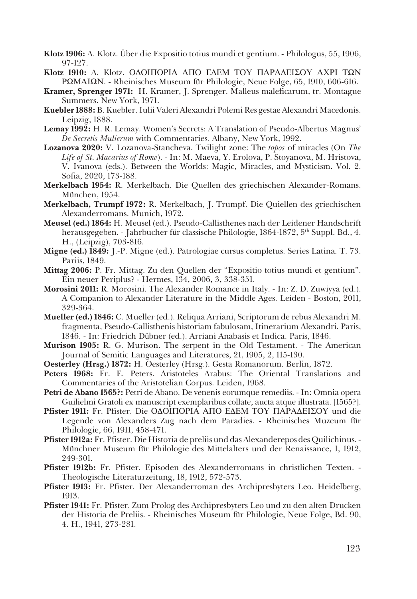- **Klotz 1906:** A. Klotz. Über die Expositio totius mundi et gentium. Philologus, 55, 1906, 97-127.
- **Klotz 1910:** A. Klotz. ΟΔΟΙΠΟΡΙΑ ΑΠΟ ΕΔΕΜ ΤΟΥ ΠΑΡΑΔΕΙΣΟΥ ΑΧΡΙ ΤΩΝ ΡΩΜΑΙΩΝ. - Rheinisches Museum für Philologie, Neue Folge, 65, 1910, 606-616.
- **Kramer, Sprenger 1971:** H. Kramer, J. Sprenger. Malleus maleficarum, tr. Montague Summers. New York, 1971.
- **Kuebler 1888:** B. Kuebler. Iulii Valeri Alexandri Polemi Res gestae Alexandri Macedonis. Leipzig, 1888.
- **Lemay 1992:** H. R. Lemay. Women's Secrets: A Translation of Pseudo-Albertus Magnus' *De Secretis Mulierum* with Commentaries*.* Albany, New York, 1992.
- **Lozanova 2020:** V. Lozanova-Stancheva. Twilight zone: The *topos* of miracles (On *The Life of St. Macarius of Rome*). - In: M. Maeva, Y. Erolova, P. Stoyanova, M. Hristova, V. Ivanova (eds.). Between the Worlds: Magic, Miracles, and Mysticism. Vol. 2. Sofia, 2020, 173-188.
- **Merkelbach 1954:** R. Merkelbach. Die Quellen des griechischen Alexander-Romans. München, 1954.
- **Merkelbach, Trumpf 1972:** R. Merkelbach, J. Trumpf. Die Quiellen des griechischen Alexanderromans. Munich, 1972.
- **Meusel (ed.) 1864:** H. Meusel (ed.). Pseudo-Callisthenes nach der Leidener Handschrift herausgegeben. - Jahrbucher für classische Philologie, 1864-1872, 5<sup>th</sup> Suppl. Bd., 4. H., (Leipzig), 703-816.
- **Migne (ed.) 1849:** J.-P. Migne (ed.). Patrologiae cursus completus. Series Latina*.* T. 73. Pariis, 1849.
- **Mittag 2006:** P. Fr. Mittag. Zu den Quellen der "Expositio totius mundi et gentium". Ein neuer Periplus? - Hermes, 134, 2006, 3, 338-351.
- **Morosini 2011:** R. Morosini. The Alexander Romance in Italy. In: Z. D. Zuwiyya (еd.). A Companion to Alexander Literature in the Middlе Ages. Leiden - Boston, 2011, 329-364.
- **Mueller (ed.) 1846:** C. Mueller (ed.). Reliqua Arriani, Scriptorum de rebus Alexandri M. fragmenta, Pseudo-Callisthenis historiam fabulosam, Itinerarium Alexandri. Paris, 1846. - In: Friedrich Dübner (ed.). Arriani Anabasis et Indica. Paris, 1846.
- **Murison 1905:** R. G. Murison. The serpent in the Old Testament. The American Journal of Semitic Languages and Literatures, 21, 1905, 2, 115-130.
- **Oesterley (Hrsg.) 1872:** H. Oesterley (Hrsg.). Gesta Romanorum. Berlin, 1872.
- **Peters 1968:** Fr. E. Peters. Aristoteles Arabus: The Oriental Translations and Commentaries of the Aristotelian Corpus. Leiden, 1968*.*
- **Petri de Abano 1565?:** Petri de Abano. De venenis eorumque remediis. In: Omnia opera Guilielmi Gratoli ex manuscript exemplaribus collate, aucta atque illustrata. [1565?].
- **Pfister 1911:** Fr. Pfister. Die ΟΔΟΙΠΟΡΙΑ ΑΠΟ ΕΔΕΜ ΤΟΥ ΠΑΡΑΔΕΙΣΟΥ und die Legende von Alexanders Zug nach dem Paradies. - Rheinisches Muzeum für Philologie, 66, 1911, 458-471.
- **Pfister 1912а:** Fr. Pfister. Die Historia de preliis und das Alexanderepos des Quilichinus. Münchner Museum für Philologie des Mittelalters und der Renaissance, 1, 1912, 249-301.
- **Pfister 1912b:** Fr. Pfister. Episoden des Alexanderromans in christlichen Texten. Theologische Literaturzeitung, 18, 1912, 572-573.
- **Pfister 1913:** Fr. Pfister. Der Alexanderroman des Archipresbyters Leo. Heidelberg, 1913.
- **Pfister 1941:** Fr. Pfister. Zum Prolog des Archipresbyters Leo und zu den alten Drucken der Historia de Preliis. - Rheinisches Museum für Philologie, Neue Folge, Bd. 90, 4. H., 1941, 273-281.